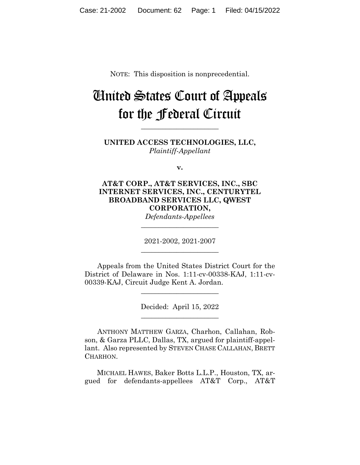NOTE: This disposition is nonprecedential.

# United States Court of Appeals for the Federal Circuit

**UNITED ACCESS TECHNOLOGIES, LLC,** *Plaintiff-Appellant*

**\_\_\_\_\_\_\_\_\_\_\_\_\_\_\_\_\_\_\_\_\_\_** 

**v.**

## **AT&T CORP., AT&T SERVICES, INC., SBC INTERNET SERVICES, INC., CENTURYTEL BROADBAND SERVICES LLC, QWEST CORPORATION,**

*Defendants-Appellees* **\_\_\_\_\_\_\_\_\_\_\_\_\_\_\_\_\_\_\_\_\_\_** 

2021-2002, 2021-2007 **\_\_\_\_\_\_\_\_\_\_\_\_\_\_\_\_\_\_\_\_\_\_** 

Appeals from the United States District Court for the District of Delaware in Nos. 1:11-cv-00338-KAJ, 1:11-cv-00339-KAJ, Circuit Judge Kent A. Jordan.

 $\overline{\phantom{a}}$  , where  $\overline{\phantom{a}}$  , where  $\overline{\phantom{a}}$  , where  $\overline{\phantom{a}}$ 

Decided: April 15, 2022  $\overline{\phantom{a}}$  , where  $\overline{\phantom{a}}$  , where  $\overline{\phantom{a}}$  , where  $\overline{\phantom{a}}$ 

ANTHONY MATTHEW GARZA, Charhon, Callahan, Robson, & Garza PLLC, Dallas, TX, argued for plaintiff-appellant. Also represented by STEVEN CHASE CALLAHAN, BRETT CHARHON.

 MICHAEL HAWES, Baker Botts L.L.P., Houston, TX, argued for defendants-appellees AT&T Corp., AT&T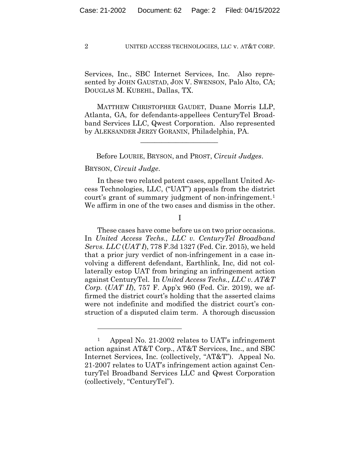Services, Inc., SBC Internet Services, Inc. Also represented by JOHN GAUSTAD, JON V. SWENSON, Palo Alto, CA; DOUGLAS M. KUBEHL, Dallas, TX.

 MATTHEW CHRISTOPHER GAUDET, Duane Morris LLP, Atlanta, GA, for defendants-appellees CenturyTel Broadband Services LLC, Qwest Corporation. Also represented by ALEKSANDER JERZY GORANIN, Philadelphia, PA.

Before LOURIE, BRYSON, and PROST, *Circuit Judges*.

 $\mathcal{L}_\text{max}$  and  $\mathcal{L}_\text{max}$  and  $\mathcal{L}_\text{max}$  and  $\mathcal{L}_\text{max}$ 

## BRYSON, *Circuit Judge*.

In these two related patent cases, appellant United Access Technologies, LLC, ("UAT") appeals from the district court's grant of summary judgment of non-infringement.<sup>1</sup> We affirm in one of the two cases and dismiss in the other.

I

 These cases have come before us on two prior occasions. In *United Access Techs., LLC v. CenturyTel Broadband Servs. LLC* (*UAT I*), 778 F.3d 1327 (Fed. Cir. 2015), we held that a prior jury verdict of non-infringement in a case involving a different defendant, Earthlink, Inc, did not collaterally estop UAT from bringing an infringement action against CenturyTel. In *United Access Techs., LLC v. AT&T Corp.* (*UAT II*), 757 F. App'x 960 (Fed. Cir. 2019), we affirmed the district court's holding that the asserted claims were not indefinite and modified the district court's construction of a disputed claim term. A thorough discussion

<sup>1</sup> Appeal No. 21-2002 relates to UAT's infringement action against AT&T Corp., AT&T Services, Inc., and SBC Internet Services, Inc. (collectively, "AT&T"). Appeal No. 21-2007 relates to UAT's infringement action against CenturyTel Broadband Services LLC and Qwest Corporation (collectively, "CenturyTel").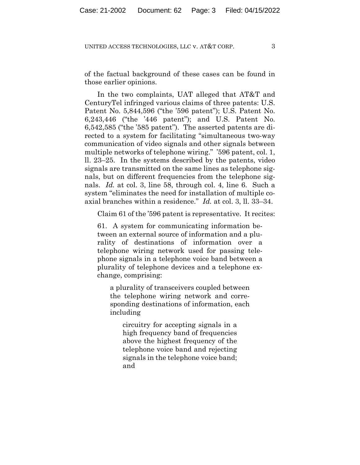of the factual background of these cases can be found in those earlier opinions.

In the two complaints, UAT alleged that AT&T and CenturyTel infringed various claims of three patents: U.S. Patent No. 5,844,596 ("the '596 patent"); U.S. Patent No. 6,243,446 ("the '446 patent"); and U.S. Patent No. 6,542,585 ("the '585 patent"). The asserted patents are directed to a system for facilitating "simultaneous two-way communication of video signals and other signals between multiple networks of telephone wiring." '596 patent, col. 1, ll. 23–25. In the systems described by the patents, video signals are transmitted on the same lines as telephone signals, but on different frequencies from the telephone signals. *Id.* at col. 3, line 58, through col. 4, line 6. Such a system "eliminates the need for installation of multiple coaxial branches within a residence." *Id.* at col. 3, ll. 33–34.

Claim 61 of the '596 patent is representative. It recites:

61. A system for communicating information between an external source of information and a plurality of destinations of information over a telephone wiring network used for passing telephone signals in a telephone voice band between a plurality of telephone devices and a telephone exchange, comprising:

a plurality of transceivers coupled between the telephone wiring network and corresponding destinations of information, each including

circuitry for accepting signals in a high frequency band of frequencies above the highest frequency of the telephone voice band and rejecting signals in the telephone voice band; and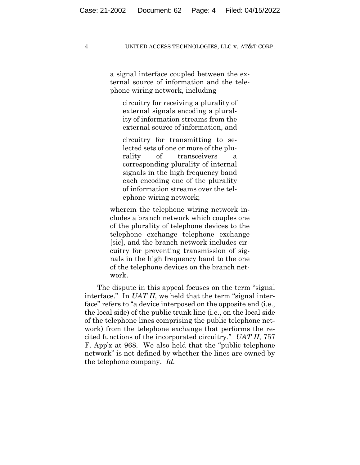a signal interface coupled between the external source of information and the telephone wiring network, including

circuitry for receiving a plurality of external signals encoding a plurality of information streams from the external source of information, and

circuitry for transmitting to selected sets of one or more of the plurality of transceivers corresponding plurality of internal signals in the high frequency band each encoding one of the plurality of information streams over the telephone wiring network;

wherein the telephone wiring network includes a branch network which couples one of the plurality of telephone devices to the telephone exchange telephone exchange [sic], and the branch network includes circuitry for preventing transmission of signals in the high frequency band to the one of the telephone devices on the branch network.

The dispute in this appeal focuses on the term "signal interface." In *UAT II*, we held that the term "signal interface" refers to "a device interposed on the opposite end (i.e., the local side) of the public trunk line (i.e., on the local side of the telephone lines comprising the public telephone network) from the telephone exchange that performs the recited functions of the incorporated circuitry." *UAT II*, 757 F. App'x at 968. We also held that the "public telephone network" is not defined by whether the lines are owned by the telephone company. *Id.*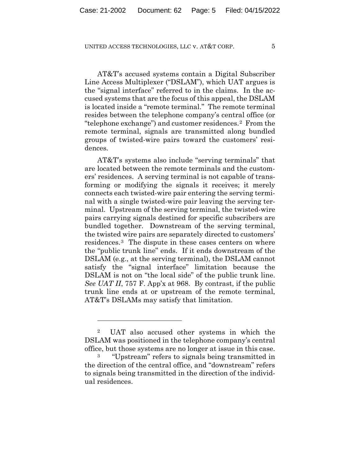AT&T's accused systems contain a Digital Subscriber Line Access Multiplexer ("DSLAM"), which UAT argues is the "signal interface" referred to in the claims. In the accused systems that are the focus of this appeal, the DSLAM is located inside a "remote terminal." The remote terminal resides between the telephone company's central office (or "telephone exchange") and customer residences.2 From the remote terminal, signals are transmitted along bundled groups of twisted-wire pairs toward the customers' residences.

AT&T's systems also include "serving terminals" that are located between the remote terminals and the customers' residences. A serving terminal is not capable of transforming or modifying the signals it receives; it merely connects each twisted-wire pair entering the serving terminal with a single twisted-wire pair leaving the serving terminal. Upstream of the serving terminal, the twisted-wire pairs carrying signals destined for specific subscribers are bundled together. Downstream of the serving terminal, the twisted wire pairs are separately directed to customers' residences.3 The dispute in these cases centers on where the "public trunk line" ends. If it ends downstream of the DSLAM (e.g., at the serving terminal), the DSLAM cannot satisfy the "signal interface" limitation because the DSLAM is not on "the local side" of the public trunk line. *See UAT II*, 757 F. App'x at 968. By contrast, if the public trunk line ends at or upstream of the remote terminal, AT&T's DSLAMs may satisfy that limitation.

<sup>2</sup> UAT also accused other systems in which the DSLAM was positioned in the telephone company's central office, but those systems are no longer at issue in this case.

<sup>3 &</sup>quot;Upstream" refers to signals being transmitted in the direction of the central office, and "downstream" refers to signals being transmitted in the direction of the individual residences.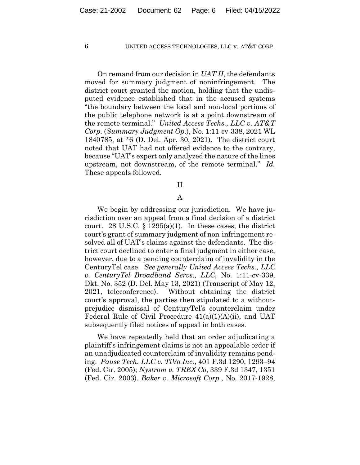On remand from our decision in *UAT II*, the defendants moved for summary judgment of noninfringement. The district court granted the motion, holding that the undisputed evidence established that in the accused systems "the boundary between the local and non-local portions of the public telephone network is at a point downstream of the remote terminal." *United Access Techs., LLC v. AT&T Corp.* (*Summary Judgment Op.*), No. 1:11-cv-338, 2021 WL 1840785, at \*6 (D. Del. Apr. 30, 2021). The district court noted that UAT had not offered evidence to the contrary, because "UAT's expert only analyzed the nature of the lines upstream, not downstream, of the remote terminal." *Id.* These appeals followed.

## II

## A

We begin by addressing our jurisdiction. We have jurisdiction over an appeal from a final decision of a district court. 28 U.S.C.  $\S 1295(a)(1)$ . In these cases, the district court's grant of summary judgment of non-infringement resolved all of UAT's claims against the defendants. The district court declined to enter a final judgment in either case, however, due to a pending counterclaim of invalidity in the CenturyTel case. *See generally United Access Techs., LLC v. CenturyTel Broadband Servs., LLC*, No. 1:11-cv-339, Dkt. No. 352 (D. Del. May 13, 2021) (Transcript of May 12, 2021, teleconference). Without obtaining the district court's approval, the parties then stipulated to a withoutprejudice dismissal of CenturyTel's counterclaim under Federal Rule of Civil Procedure 41(a)(1)(A)(ii), and UAT subsequently filed notices of appeal in both cases.

We have repeatedly held that an order adjudicating a plaintiff's infringement claims is not an appealable order if an unadjudicated counterclaim of invalidity remains pending. *Pause Tech. LLC v. TiVo Inc.*, 401 F.3d 1290, 1293–94 (Fed. Cir. 2005); *Nystrom v. TREX Co*, 339 F.3d 1347, 1351 (Fed. Cir. 2003)*. Baker v. Microsoft Corp.*, No. 2017-1928,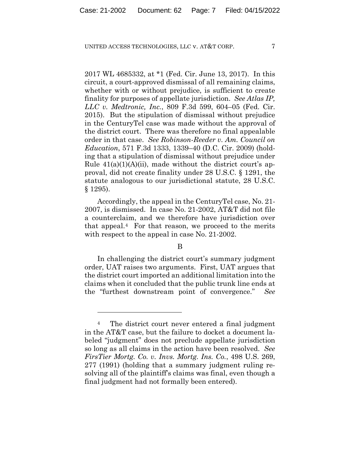2017 WL 4685332, at \*1 (Fed. Cir. June 13, 2017). In this circuit, a court-approved dismissal of all remaining claims, whether with or without prejudice, is sufficient to create finality for purposes of appellate jurisdiction. *See Atlas IP, LLC v. Medtronic, Inc.*, 809 F.3d 599, 604–05 (Fed. Cir. 2015). But the stipulation of dismissal without prejudice in the CenturyTel case was made without the approval of the district court. There was therefore no final appealable order in that case. *See Robinson-Reeder v. Am. Council on Education*, 571 F.3d 1333, 1339–40 (D.C. Cir. 2009) (holding that a stipulation of dismissal without prejudice under Rule  $41(a)(1)(A)(ii)$ , made without the district court's approval, did not create finality under 28 U.S.C. § 1291, the statute analogous to our jurisdictional statute, 28 U.S.C. § 1295).

 Accordingly, the appeal in the CenturyTel case, No. 21- 2007, is dismissed. In case No. 21-2002, AT&T did not file a counterclaim, and we therefore have jurisdiction over that appeal.<sup>4</sup> For that reason, we proceed to the merits with respect to the appeal in case No. 21-2002.

## B

In challenging the district court's summary judgment order, UAT raises two arguments. First, UAT argues that the district court imported an additional limitation into the claims when it concluded that the public trunk line ends at the "furthest downstream point of convergence." *See* 

<sup>4</sup> The district court never entered a final judgment in the AT&T case, but the failure to docket a document labeled "judgment" does not preclude appellate jurisdiction so long as all claims in the action have been resolved. *See FirsTier Mortg. Co. v. Invs. Mortg. Ins. Co.*, 498 U.S. 269, 277 (1991) (holding that a summary judgment ruling resolving all of the plaintiff's claims was final, even though a final judgment had not formally been entered).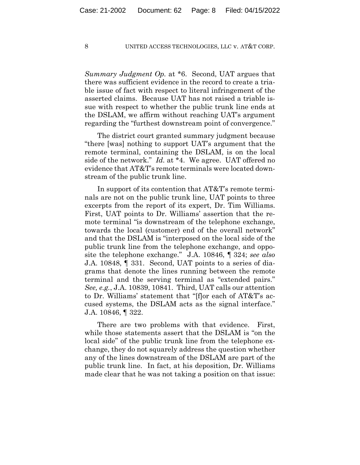*Summary Judgment Op.* at \*6. Second, UAT argues that there was sufficient evidence in the record to create a triable issue of fact with respect to literal infringement of the asserted claims. Because UAT has not raised a triable issue with respect to whether the public trunk line ends at the DSLAM, we affirm without reaching UAT's argument regarding the "furthest downstream point of convergence."

The district court granted summary judgment because "there [was] nothing to support UAT's argument that the remote terminal, containing the DSLAM, is on the local side of the network." *Id.* at \*4. We agree. UAT offered no evidence that AT&T's remote terminals were located downstream of the public trunk line.

In support of its contention that AT&T's remote terminals are not on the public trunk line, UAT points to three excerpts from the report of its expert, Dr. Tim Williams. First, UAT points to Dr. Williams' assertion that the remote terminal "is downstream of the telephone exchange, towards the local (customer) end of the overall network" and that the DSLAM is "interposed on the local side of the public trunk line from the telephone exchange, and opposite the telephone exchange." J.A. 10846, ¶ 324; *see also*  J.A. 10848, ¶ 331. Second, UAT points to a series of diagrams that denote the lines running between the remote terminal and the serving terminal as "extended pairs." *See, e.g.*, J.A. 10839, 10841. Third, UAT calls our attention to Dr. Williams' statement that "[f]or each of AT&T's accused systems, the DSLAM acts as the signal interface." J.A. 10846, ¶ 322.

There are two problems with that evidence. First, while those statements assert that the DSLAM is "on the local side" of the public trunk line from the telephone exchange, they do not squarely address the question whether any of the lines downstream of the DSLAM are part of the public trunk line. In fact, at his deposition, Dr. Williams made clear that he was not taking a position on that issue: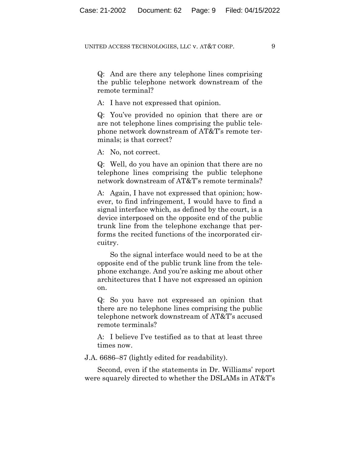Q: And are there any telephone lines comprising the public telephone network downstream of the remote terminal?

A: I have not expressed that opinion.

Q: You've provided no opinion that there are or are not telephone lines comprising the public telephone network downstream of AT&T's remote terminals; is that correct?

A: No, not correct.

Q: Well, do you have an opinion that there are no telephone lines comprising the public telephone network downstream of AT&T's remote terminals?

A: Again, I have not expressed that opinion; however, to find infringement, I would have to find a signal interface which, as defined by the court, is a device interposed on the opposite end of the public trunk line from the telephone exchange that performs the recited functions of the incorporated circuitry.

So the signal interface would need to be at the opposite end of the public trunk line from the telephone exchange. And you're asking me about other architectures that I have not expressed an opinion on.

Q: So you have not expressed an opinion that there are no telephone lines comprising the public telephone network downstream of AT&T's accused remote terminals?

A: I believe I've testified as to that at least three times now.

J.A. 6686–87 (lightly edited for readability).

Second, even if the statements in Dr. Williams' report were squarely directed to whether the DSLAMs in AT&T's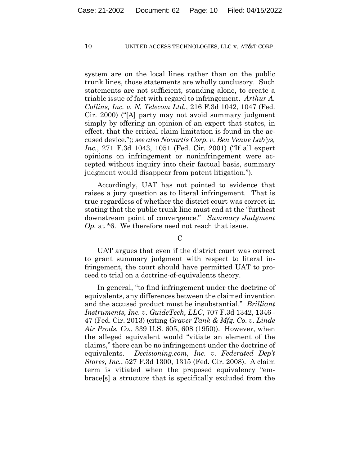system are on the local lines rather than on the public trunk lines, those statements are wholly conclusory. Such statements are not sufficient, standing alone, to create a triable issue of fact with regard to infringement. *Arthur A. Collins, Inc. v. N. Telecom Ltd.*, 216 F.3d 1042, 1047 (Fed. Cir. 2000) ("[A] party may not avoid summary judgment simply by offering an opinion of an expert that states, in effect, that the critical claim limitation is found in the accused device."); *see also Novartis Corp. v. Ben Venue Lab'ys, Inc.*, 271 F.3d 1043, 1051 (Fed. Cir. 2001) ("If all expert opinions on infringement or noninfringement were accepted without inquiry into their factual basis, summary judgment would disappear from patent litigation.").

Accordingly, UAT has not pointed to evidence that raises a jury question as to literal infringement. That is true regardless of whether the district court was correct in stating that the public trunk line must end at the "furthest downstream point of convergence." *Summary Judgment Op.* at \*6. We therefore need not reach that issue.

 $\mathcal{C}$ 

UAT argues that even if the district court was correct to grant summary judgment with respect to literal infringement, the court should have permitted UAT to proceed to trial on a doctrine-of-equivalents theory.

In general, "to find infringement under the doctrine of equivalents, any differences between the claimed invention and the accused product must be insubstantial." *Brilliant Instruments, Inc. v. GuideTech, LLC*, 707 F.3d 1342, 1346– 47 (Fed. Cir. 2013) (citing *Graver Tank & Mfg. Co. v. Linde Air Prods. Co.*, 339 U.S. 605, 608 (1950)). However, when the alleged equivalent would "vitiate an element of the claims," there can be no infringement under the doctrine of equivalents. *Decisioning.com, Inc. v. Federated Dep't Stores, Inc.*, 527 F.3d 1300, 1315 (Fed. Cir. 2008). A claim term is vitiated when the proposed equivalency "embrace[s] a structure that is specifically excluded from the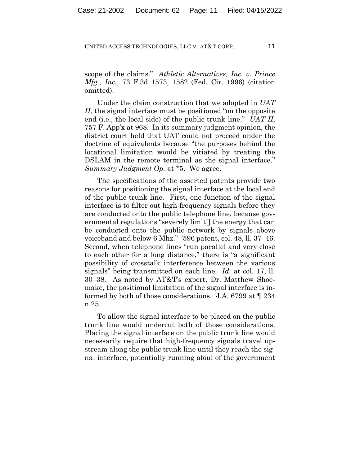scope of the claims." *Athletic Alternatives, Inc. v. Prince Mfg., Inc.*, 73 F.3d 1573, 1582 (Fed. Cir. 1996) (citation omitted).

Under the claim construction that we adopted in *UAT II*, the signal interface must be positioned "on the opposite" end (i.e., the local side) of the public trunk line." *UAT II*, 757 F. App'x at 968. In its summary judgment opinion, the district court held that UAT could not proceed under the doctrine of equivalents because "the purposes behind the locational limitation would be vitiated by treating the DSLAM in the remote terminal as the signal interface." *Summary Judgment Op.* at \*5. We agree.

The specifications of the asserted patents provide two reasons for positioning the signal interface at the local end of the public trunk line. First, one function of the signal interface is to filter out high-frequency signals before they are conducted onto the public telephone line, because governmental regulations "severely limit[] the energy that can be conducted onto the public network by signals above voiceband and below 6 Mhz." '596 patent, col. 48, ll. 37–46. Second, when telephone lines "run parallel and very close to each other for a long distance," there is "a significant possibility of crosstalk interference between the various signals" being transmitted on each line. *Id.* at col. 17, ll. 30–38. As noted by AT&T's expert, Dr. Matthew Shoemake, the positional limitation of the signal interface is informed by both of those considerations. J.A. 6799 at ¶ 234 n.25.

To allow the signal interface to be placed on the public trunk line would undercut both of those considerations. Placing the signal interface on the public trunk line would necessarily require that high-frequency signals travel upstream along the public trunk line until they reach the signal interface, potentially running afoul of the government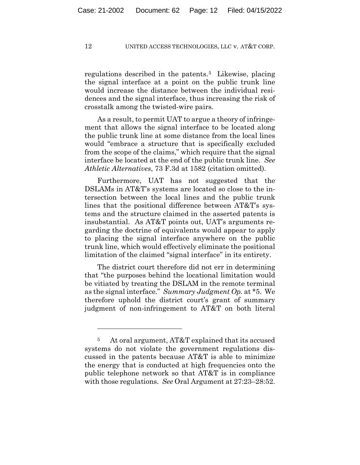regulations described in the patents.<sup>5</sup> Likewise, placing the signal interface at a point on the public trunk line would increase the distance between the individual residences and the signal interface, thus increasing the risk of crosstalk among the twisted-wire pairs.

As a result, to permit UAT to argue a theory of infringement that allows the signal interface to be located along the public trunk line at some distance from the local lines would "embrace a structure that is specifically excluded from the scope of the claims," which require that the signal interface be located at the end of the public trunk line. *See Athletic Alternatives*, 73 F.3d at 1582 (citation omitted).

Furthermore, UAT has not suggested that the DSLAMs in AT&T's systems are located so close to the intersection between the local lines and the public trunk lines that the positional difference between AT&T's systems and the structure claimed in the asserted patents is insubstantial. As AT&T points out, UAT's arguments regarding the doctrine of equivalents would appear to apply to placing the signal interface anywhere on the public trunk line, which would effectively eliminate the positional limitation of the claimed "signal interface" in its entirety.

The district court therefore did not err in determining that "the purposes behind the locational limitation would be vitiated by treating the DSLAM in the remote terminal as the signal interface." *Summary Judgment Op.* at \*5. We therefore uphold the district court's grant of summary judgment of non-infringement to AT&T on both literal

<sup>5</sup> At oral argument, AT&T explained that its accused systems do not violate the government regulations discussed in the patents because AT&T is able to minimize the energy that is conducted at high frequencies onto the public telephone network so that AT&T is in compliance with those regulations. *See* Oral Argument at 27:23–28:52.